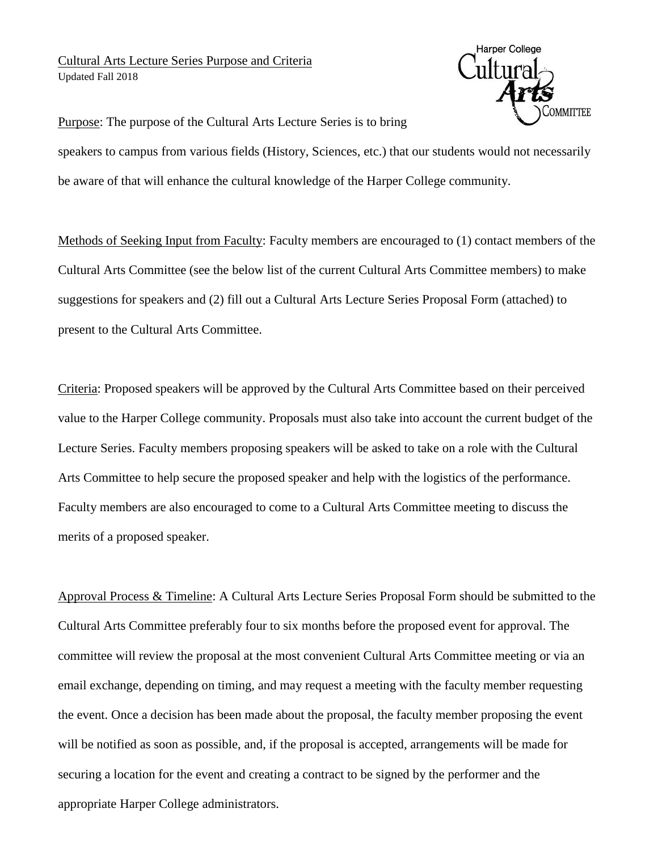## Cultural Arts Lecture Series Purpose and Criteria Updated Fall 2018



Purpose: The purpose of the Cultural Arts Lecture Series is to bring

speakers to campus from various fields (History, Sciences, etc.) that our students would not necessarily be aware of that will enhance the cultural knowledge of the Harper College community.

Methods of Seeking Input from Faculty: Faculty members are encouraged to (1) contact members of the Cultural Arts Committee (see the below list of the current Cultural Arts Committee members) to make suggestions for speakers and (2) fill out a Cultural Arts Lecture Series Proposal Form (attached) to present to the Cultural Arts Committee.

Criteria: Proposed speakers will be approved by the Cultural Arts Committee based on their perceived value to the Harper College community. Proposals must also take into account the current budget of the Lecture Series. Faculty members proposing speakers will be asked to take on a role with the Cultural Arts Committee to help secure the proposed speaker and help with the logistics of the performance. Faculty members are also encouraged to come to a Cultural Arts Committee meeting to discuss the merits of a proposed speaker.

Approval Process & Timeline: A Cultural Arts Lecture Series Proposal Form should be submitted to the Cultural Arts Committee preferably four to six months before the proposed event for approval. The committee will review the proposal at the most convenient Cultural Arts Committee meeting or via an email exchange, depending on timing, and may request a meeting with the faculty member requesting the event. Once a decision has been made about the proposal, the faculty member proposing the event will be notified as soon as possible, and, if the proposal is accepted, arrangements will be made for securing a location for the event and creating a contract to be signed by the performer and the appropriate Harper College administrators.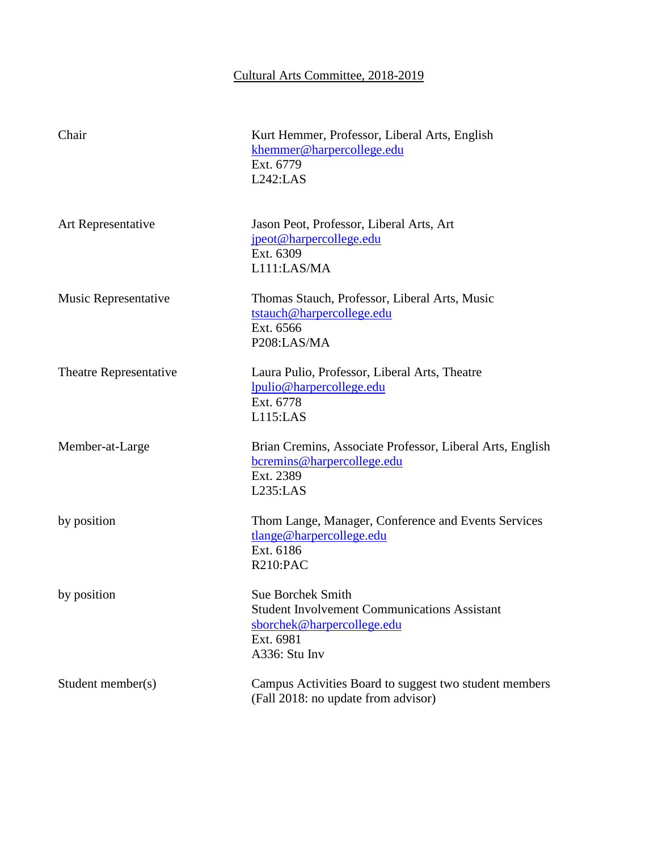## Cultural Arts Committee, 2018-2019

| Chair                  | Kurt Hemmer, Professor, Liberal Arts, English<br>khemmer@harpercollege.edu<br>Ext. 6779<br>L242:LAS                                         |
|------------------------|---------------------------------------------------------------------------------------------------------------------------------------------|
| Art Representative     | Jason Peot, Professor, Liberal Arts, Art<br>jpeot@harpercollege.edu<br>Ext. 6309<br>L111:LAS/MA                                             |
| Music Representative   | Thomas Stauch, Professor, Liberal Arts, Music<br>tstauch@harpercollege.edu<br>Ext. 6566<br>P208:LAS/MA                                      |
| Theatre Representative | Laura Pulio, Professor, Liberal Arts, Theatre<br>lpulio@harpercollege.edu<br>Ext. 6778<br>L115:LAS                                          |
| Member-at-Large        | Brian Cremins, Associate Professor, Liberal Arts, English<br>bcremins@harpercollege.edu<br>Ext. 2389<br>L235:LAS                            |
| by position            | Thom Lange, Manager, Conference and Events Services<br>tlange@harpercollege.edu<br>Ext. 6186<br>R210:PAC                                    |
| by position            | <b>Sue Borchek Smith</b><br><b>Student Involvement Communications Assistant</b><br>sborchek@harpercollege.edu<br>Ext. 6981<br>A336: Stu Inv |
| Student member(s)      | Campus Activities Board to suggest two student members<br>(Fall 2018: no update from advisor)                                               |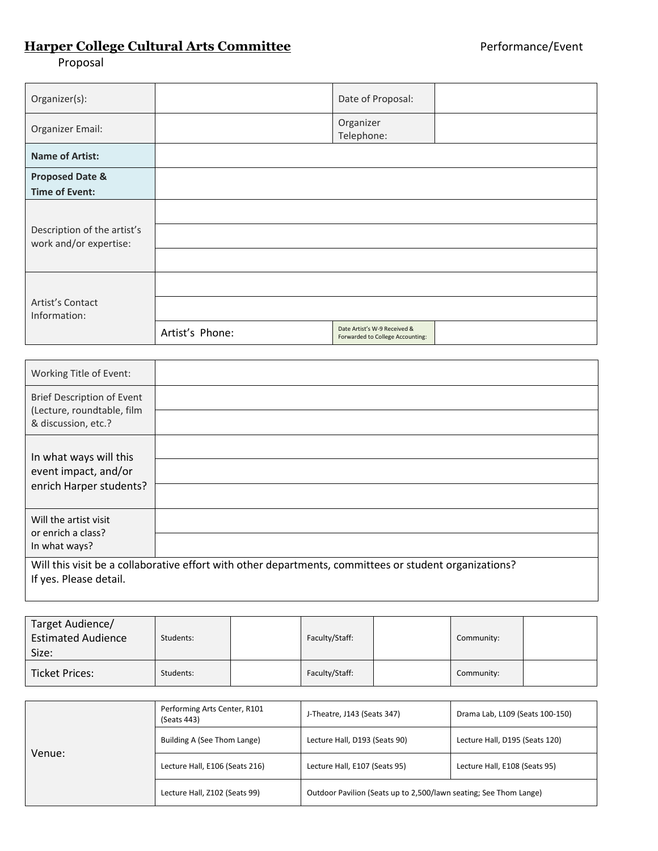## **Harper College Cultural Arts Committee Performance/Event**

Proposal

| Organizer(s):                                         |                 | Date of Proposal:                                                |  |
|-------------------------------------------------------|-----------------|------------------------------------------------------------------|--|
| Organizer Email:                                      |                 | Organizer<br>Telephone:                                          |  |
| <b>Name of Artist:</b>                                |                 |                                                                  |  |
| <b>Proposed Date &amp;</b><br><b>Time of Event:</b>   |                 |                                                                  |  |
| Description of the artist's<br>work and/or expertise: |                 |                                                                  |  |
| Artist's Contact<br>Information:                      |                 |                                                                  |  |
|                                                       | Artist's Phone: | Date Artist's W-9 Received &<br>Forwarded to College Accounting: |  |

| Working Title of Event:                                                                                                          |  |  |
|----------------------------------------------------------------------------------------------------------------------------------|--|--|
| Brief Description of Event<br>(Lecture, roundtable, film<br>& discussion, etc.?                                                  |  |  |
| In what ways will this<br>event impact, and/or<br>enrich Harper students?                                                        |  |  |
| Will the artist visit<br>or enrich a class?<br>In what ways?                                                                     |  |  |
| Will this visit be a collaborative effort with other departments, committees or student organizations?<br>If yes. Please detail. |  |  |

| Target Audience/<br><b>Estimated Audience</b><br>Size: | Students: | Faculty/Staff: | Community: |  |
|--------------------------------------------------------|-----------|----------------|------------|--|
| Ticket Prices:                                         | Students: | Faculty/Staff: | Community: |  |

| Venue: | Performing Arts Center, R101<br>(Seats 443) | J-Theatre, J143 (Seats 347)                                       | Drama Lab, L109 (Seats 100-150) |
|--------|---------------------------------------------|-------------------------------------------------------------------|---------------------------------|
|        | Building A (See Thom Lange)                 | Lecture Hall, D193 (Seats 90)                                     | Lecture Hall, D195 (Seats 120)  |
|        | Lecture Hall, E106 (Seats 216)              | Lecture Hall, E107 (Seats 95)                                     | Lecture Hall, E108 (Seats 95)   |
|        | Lecture Hall, Z102 (Seats 99)               | Outdoor Pavilion (Seats up to 2,500/lawn seating; See Thom Lange) |                                 |